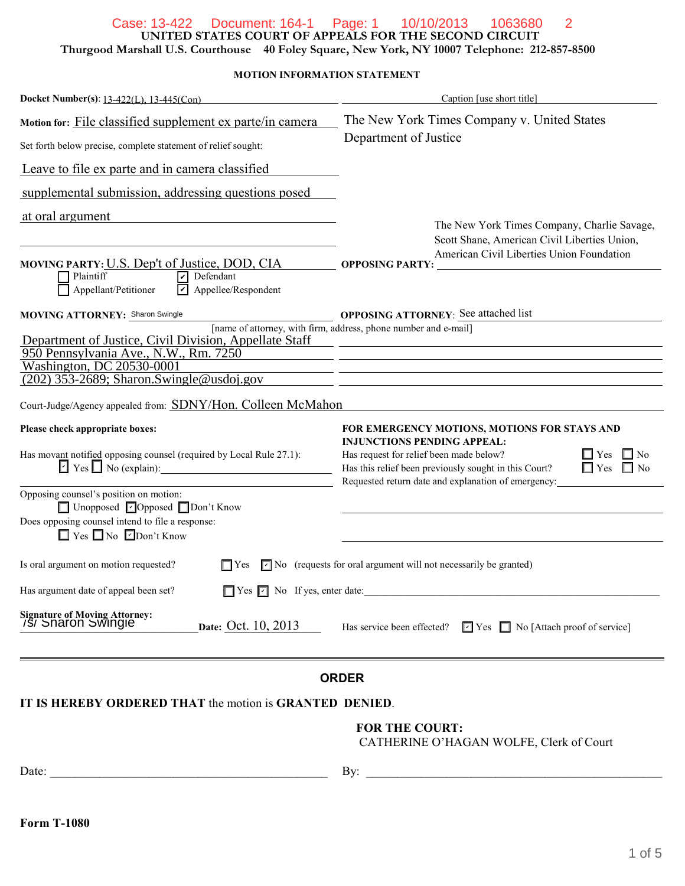## Case: 13-422 Document: 164-1 Page: 1 10/10/2013 1063680 2

**UNITED STATES COURT OF APPEALS FOR THE SECOND CIRCUIT**

**Thurgood Marshall U.S. Courthouse 40 Foley Square, New York, NY 10007 Telephone: 212-857-8500**

**MOTION INFORMATION STATEMENT**

| Docket Number(s): 13-422(L), 13-445(Con)                                                         | Caption [use short title]                                                                                                                                                                                                                |  |
|--------------------------------------------------------------------------------------------------|------------------------------------------------------------------------------------------------------------------------------------------------------------------------------------------------------------------------------------------|--|
| Motion for: File classified supplement ex parte/in camera                                        | The New York Times Company v. United States<br>Department of Justice                                                                                                                                                                     |  |
| Set forth below precise, complete statement of relief sought:                                    |                                                                                                                                                                                                                                          |  |
| Leave to file ex parte and in camera classified                                                  |                                                                                                                                                                                                                                          |  |
| supplemental submission, addressing questions posed                                              |                                                                                                                                                                                                                                          |  |
| at oral argument<br>MOVING PARTY: U.S. Dep't of Justice, DOD, CIA                                | The New York Times Company, Charlie Savage,<br>Scott Shane, American Civil Liberties Union,<br>American Civil Liberties Union Foundation<br><b>OPPOSING PARTY:</b>                                                                       |  |
| <b>T</b> Plaintiff<br>$\nabla$ Defendant<br>Appellee/Respondent<br>Appellant/Petitioner<br>l۷l   |                                                                                                                                                                                                                                          |  |
| <b>MOVING ATTORNEY: Sharon Swingle</b><br>Department of Justice, Civil Division, Appellate Staff | <b>OPPOSING ATTORNEY:</b> See attached list<br>[name of attorney, with firm, address, phone number and e-mail]<br><u> 1989 - Johann Stoff, fransk kongresu og den forske forske forske forske forske forske forske forske forske for</u> |  |
| 950 Pennsylvania Ave., N.W., Rm. 7250                                                            |                                                                                                                                                                                                                                          |  |
| Washington, DC 20530-0001<br>$(202)$ 353-2689; Sharon. Swingle @usdoj.gov                        |                                                                                                                                                                                                                                          |  |
| Court-Judge/Agency appealed from: SDNY/Hon. Colleen McMahon                                      |                                                                                                                                                                                                                                          |  |
| Please check appropriate boxes:                                                                  | FOR EMERGENCY MOTIONS, MOTIONS FOR STAYS AND<br><b>INJUNCTIONS PENDING APPEAL:</b>                                                                                                                                                       |  |
| Has movant notified opposing counsel (required by Local Rule 27.1):                              | Has request for relief been made below?<br>$\Box$ Yes<br>$\Box$ No<br>$\Box$ Yes<br>Has this relief been previously sought in this Court?<br>$\Box$ No<br>Requested return date and explanation of emergency:                            |  |
| Opposing counsel's position on motion:<br>$\Box$ Unopposed $\Box$ Opposed $\Box$ Don't Know      |                                                                                                                                                                                                                                          |  |
| Does opposing counsel intend to file a response:<br>$\Box$ Yes $\Box$ No $\Box$ Don't Know       |                                                                                                                                                                                                                                          |  |
| Is oral argument on motion requested?<br>$\Box$ Yes                                              | $\Box$ No (requests for oral argument will not necessarily be granted)                                                                                                                                                                   |  |
| Has argument date of appeal been set?<br>$\Box$ Yes $\Box$ No If yes, enter date:                |                                                                                                                                                                                                                                          |  |
| Signature of Moving Attorney:<br>/S/ Sharon Swingle<br>Date: Oct. 10, 2013                       | Has service been effected?<br>$\boxed{\blacksquare}$ Yes $\boxed{\blacksquare}$ No [Attach proof of service]                                                                                                                             |  |
|                                                                                                  |                                                                                                                                                                                                                                          |  |

## **ORDER**

**IT IS HEREBY ORDERED THAT** the motion is **GRANTED DENIED**.

## **FOR THE COURT:**

CATHERINE O'HAGAN WOLFE, Clerk of Court

| Date: |  |  |
|-------|--|--|
|       |  |  |

 $\Box$  By:  $\Box$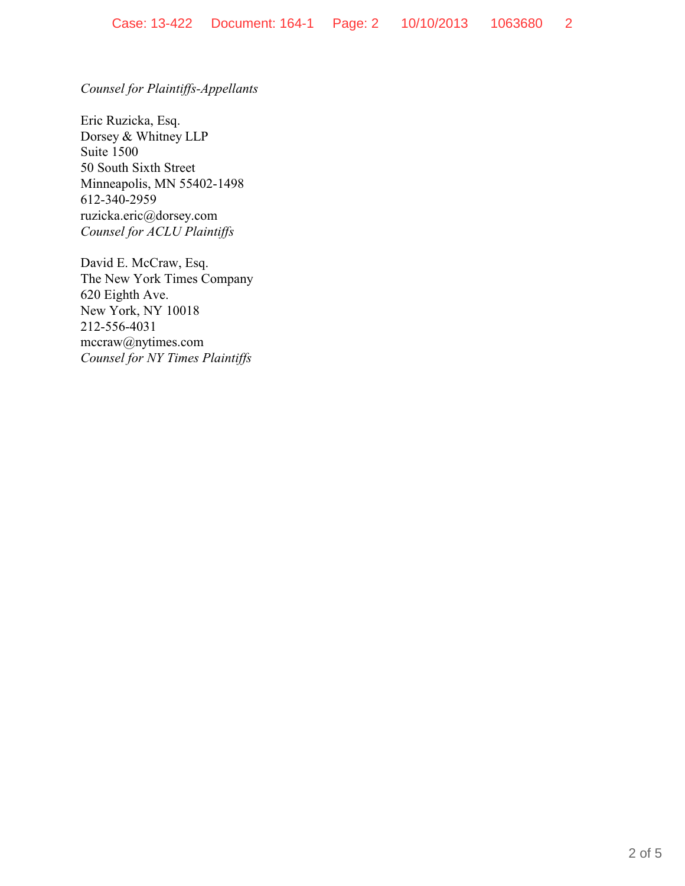*Counsel for Plaintiffs-Appellants*

Eric Ruzicka, Esq. Dorsey & Whitney LLP Suite 1500 50 South Sixth Street Minneapolis, MN 55402-1498 612-340-2959 ruzicka.eric@dorsey.com *Counsel for ACLU Plaintiffs*

David E. McCraw, Esq. The New York Times Company 620 Eighth Ave. New York, NY 10018 212-556-4031 mccraw@nytimes.com *Counsel for NY Times Plaintiffs*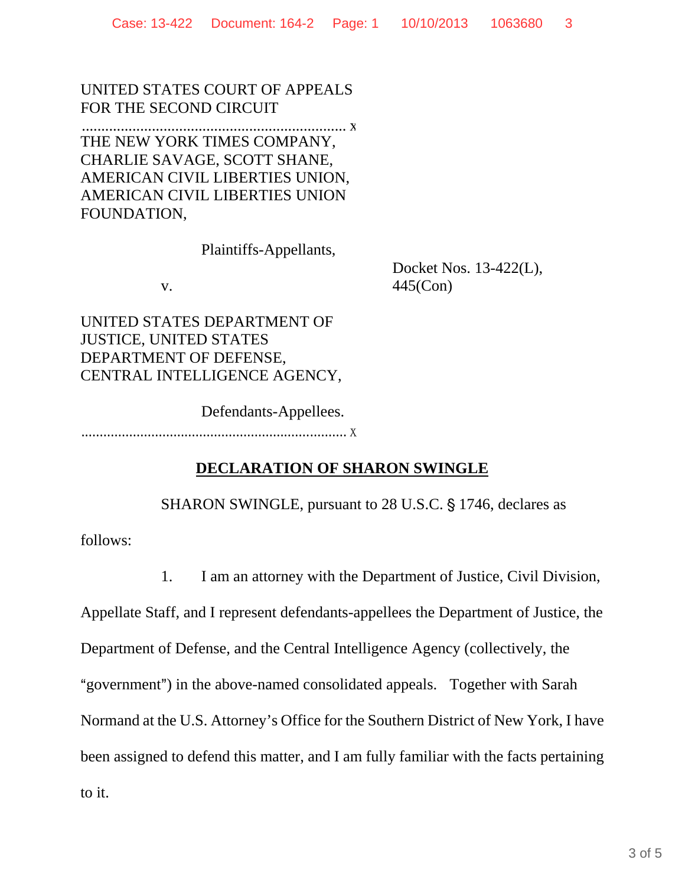UNITED STATES COURT OF APPEALS FOR THE SECOND CIRCUIT

 .................................................................... x THE NEW YORK TIMES COMPANY, CHARLIE SAVAGE, SCOTT SHANE, AMERICAN CIVIL LIBERTIES UNION, AMERICAN CIVIL LIBERTIES UNION FOUNDATION,

Plaintiffs-Appellants,

v.

Docket Nos. 13-422(L), 445(Con)

UNITED STATES DEPARTMENT OF JUSTICE, UNITED STATES DEPARTMENT OF DEFENSE, CENTRAL INTELLIGENCE AGENCY,

Defendants-Appellees. ........................................................................ x

## **DECLARATION OF SHARON SWINGLE**

SHARON SWINGLE, pursuant to 28 U.S.C. § 1746, declares as

follows:

1. I am an attorney with the Department of Justice, Civil Division,

Appellate Staff, and I represent defendants-appellees the Department of Justice, the

Department of Defense, and the Central Intelligence Agency (collectively, the

"government") in the above-named consolidated appeals. Together with Sarah

Normand at the U.S. Attorney's Office for the Southern District of New York, I have

been assigned to defend this matter, and I am fully familiar with the facts pertaining

to it.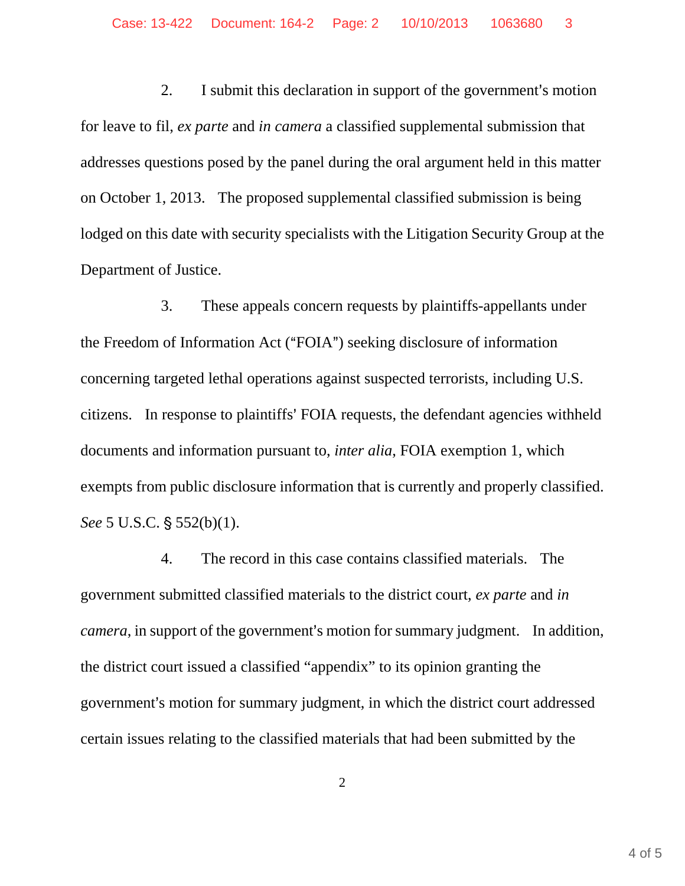2. I submit this declaration in support of the government's motion for leave to fil, *ex parte* and *in camera* a classified supplemental submission that addresses questions posed by the panel during the oral argument held in this matter on October 1, 2013. The proposed supplemental classified submission is being lodged on this date with security specialists with the Litigation Security Group at the Department of Justice.

3. These appeals concern requests by plaintiffs-appellants under the Freedom of Information Act ("FOIA") seeking disclosure of information concerning targeted lethal operations against suspected terrorists, including U.S. citizens. In response to plaintiffs' FOIA requests, the defendant agencies withheld documents and information pursuant to, *inter alia*, FOIA exemption 1, which exempts from public disclosure information that is currently and properly classified. *See* 5 U.S.C. § 552(b)(1).

4. The record in this case contains classified materials. The government submitted classified materials to the district court, *ex parte* and *in camera*, in support of the government's motion for summary judgment. In addition, the district court issued a classified "appendix" to its opinion granting the government's motion for summary judgment, in which the district court addressed certain issues relating to the classified materials that had been submitted by the

2